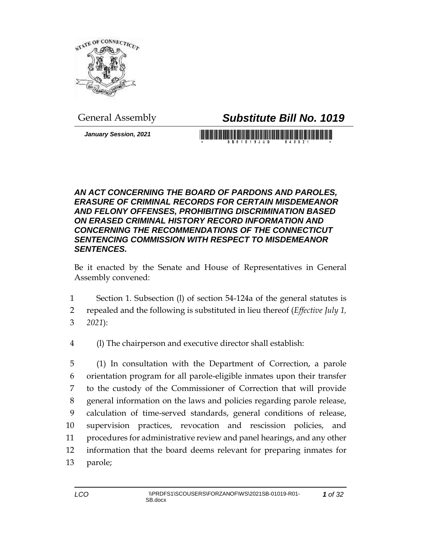

General Assembly *Substitute Bill No. 1019*

*January Session, 2021*

## 

## *AN ACT CONCERNING THE BOARD OF PARDONS AND PAROLES, ERASURE OF CRIMINAL RECORDS FOR CERTAIN MISDEMEANOR AND FELONY OFFENSES, PROHIBITING DISCRIMINATION BASED ON ERASED CRIMINAL HISTORY RECORD INFORMATION AND CONCERNING THE RECOMMENDATIONS OF THE CONNECTICUT SENTENCING COMMISSION WITH RESPECT TO MISDEMEANOR SENTENCES.*

Be it enacted by the Senate and House of Representatives in General Assembly convened:

- 1 Section 1. Subsection (l) of section 54-124a of the general statutes is
- 2 repealed and the following is substituted in lieu thereof (*Effective July 1,*
- 3 *2021*):
- 4 (l) The chairperson and executive director shall establish:

 (1) In consultation with the Department of Correction, a parole orientation program for all parole-eligible inmates upon their transfer to the custody of the Commissioner of Correction that will provide general information on the laws and policies regarding parole release, calculation of time-served standards, general conditions of release, supervision practices, revocation and rescission policies, and procedures for administrative review and panel hearings, and any other information that the board deems relevant for preparing inmates for 13 parole;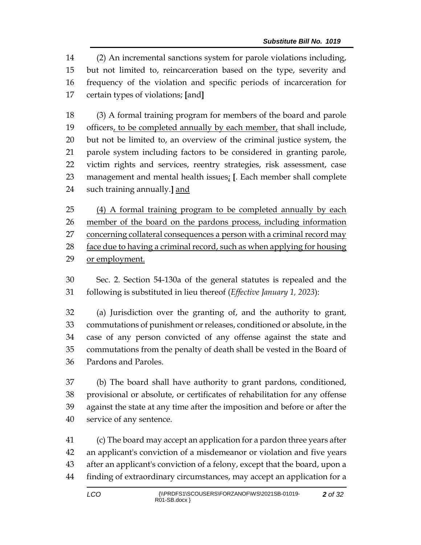(2) An incremental sanctions system for parole violations including, but not limited to, reincarceration based on the type, severity and frequency of the violation and specific periods of incarceration for certain types of violations; **[**and**]**

 (3) A formal training program for members of the board and parole 19 officers, to be completed annually by each member, that shall include, but not be limited to, an overview of the criminal justice system, the parole system including factors to be considered in granting parole, victim rights and services, reentry strategies, risk assessment, case management and mental health issues; **[**. Each member shall complete such training annually.**]** and

 (4) A formal training program to be completed annually by each member of the board on the pardons process, including information 27 concerning collateral consequences a person with a criminal record may face due to having a criminal record, such as when applying for housing or employment.

 Sec. 2. Section 54-130a of the general statutes is repealed and the following is substituted in lieu thereof (*Effective January 1, 2023*):

 (a) Jurisdiction over the granting of, and the authority to grant, commutations of punishment or releases, conditioned or absolute, in the case of any person convicted of any offense against the state and commutations from the penalty of death shall be vested in the Board of Pardons and Paroles.

 (b) The board shall have authority to grant pardons, conditioned, provisional or absolute, or certificates of rehabilitation for any offense against the state at any time after the imposition and before or after the service of any sentence.

 (c) The board may accept an application for a pardon three years after an applicant's conviction of a misdemeanor or violation and five years after an applicant's conviction of a felony, except that the board, upon a finding of extraordinary circumstances, may accept an application for a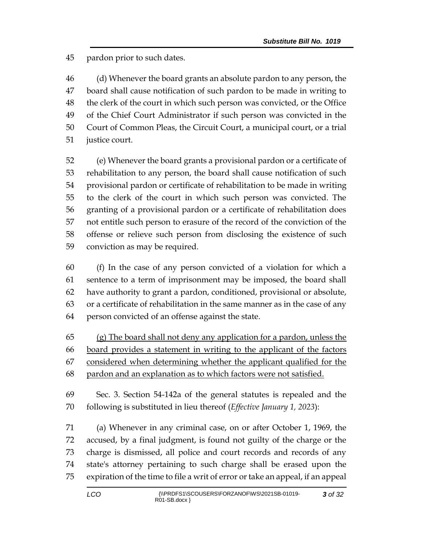pardon prior to such dates.

 (d) Whenever the board grants an absolute pardon to any person, the board shall cause notification of such pardon to be made in writing to the clerk of the court in which such person was convicted, or the Office of the Chief Court Administrator if such person was convicted in the Court of Common Pleas, the Circuit Court, a municipal court, or a trial justice court.

 (e) Whenever the board grants a provisional pardon or a certificate of rehabilitation to any person, the board shall cause notification of such provisional pardon or certificate of rehabilitation to be made in writing to the clerk of the court in which such person was convicted. The granting of a provisional pardon or a certificate of rehabilitation does not entitle such person to erasure of the record of the conviction of the offense or relieve such person from disclosing the existence of such conviction as may be required.

 (f) In the case of any person convicted of a violation for which a sentence to a term of imprisonment may be imposed, the board shall have authority to grant a pardon, conditioned, provisional or absolute, or a certificate of rehabilitation in the same manner as in the case of any person convicted of an offense against the state.

 (g) The board shall not deny any application for a pardon, unless the board provides a statement in writing to the applicant of the factors considered when determining whether the applicant qualified for the pardon and an explanation as to which factors were not satisfied.

 Sec. 3. Section 54-142a of the general statutes is repealed and the following is substituted in lieu thereof (*Effective January 1, 2023*):

 (a) Whenever in any criminal case, on or after October 1, 1969, the accused, by a final judgment, is found not guilty of the charge or the charge is dismissed, all police and court records and records of any state's attorney pertaining to such charge shall be erased upon the expiration of the time to file a writ of error or take an appeal, if an appeal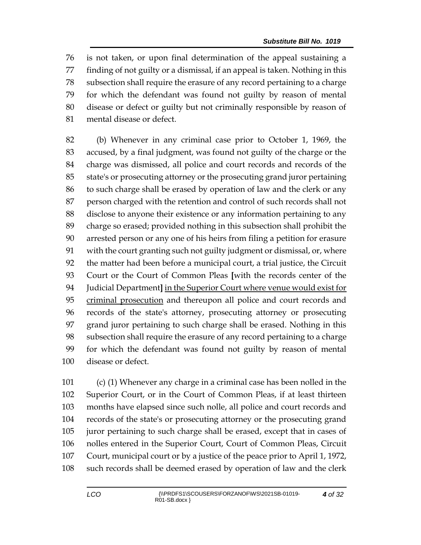is not taken, or upon final determination of the appeal sustaining a finding of not guilty or a dismissal, if an appeal is taken. Nothing in this subsection shall require the erasure of any record pertaining to a charge for which the defendant was found not guilty by reason of mental disease or defect or guilty but not criminally responsible by reason of mental disease or defect.

 (b) Whenever in any criminal case prior to October 1, 1969, the accused, by a final judgment, was found not guilty of the charge or the charge was dismissed, all police and court records and records of the state's or prosecuting attorney or the prosecuting grand juror pertaining to such charge shall be erased by operation of law and the clerk or any person charged with the retention and control of such records shall not disclose to anyone their existence or any information pertaining to any charge so erased; provided nothing in this subsection shall prohibit the arrested person or any one of his heirs from filing a petition for erasure with the court granting such not guilty judgment or dismissal, or, where the matter had been before a municipal court, a trial justice, the Circuit Court or the Court of Common Pleas **[**with the records center of the Judicial Department**]** in the Superior Court where venue would exist for criminal prosecution and thereupon all police and court records and records of the state's attorney, prosecuting attorney or prosecuting grand juror pertaining to such charge shall be erased. Nothing in this subsection shall require the erasure of any record pertaining to a charge for which the defendant was found not guilty by reason of mental disease or defect.

 (c) (1) Whenever any charge in a criminal case has been nolled in the Superior Court, or in the Court of Common Pleas, if at least thirteen months have elapsed since such nolle, all police and court records and records of the state's or prosecuting attorney or the prosecuting grand juror pertaining to such charge shall be erased, except that in cases of nolles entered in the Superior Court, Court of Common Pleas, Circuit Court, municipal court or by a justice of the peace prior to April 1, 1972, such records shall be deemed erased by operation of law and the clerk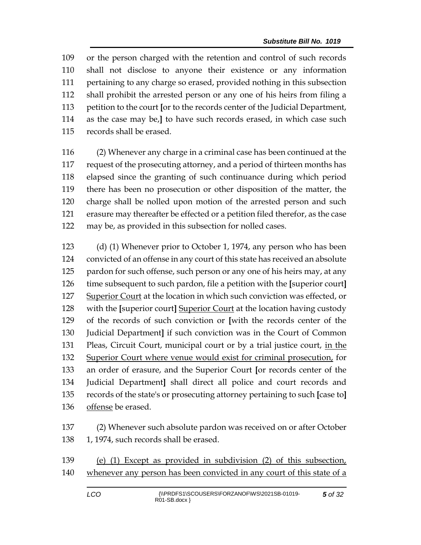or the person charged with the retention and control of such records shall not disclose to anyone their existence or any information pertaining to any charge so erased, provided nothing in this subsection shall prohibit the arrested person or any one of his heirs from filing a petition to the court **[**or to the records center of the Judicial Department, as the case may be,**]** to have such records erased, in which case such records shall be erased.

 (2) Whenever any charge in a criminal case has been continued at the request of the prosecuting attorney, and a period of thirteen months has elapsed since the granting of such continuance during which period there has been no prosecution or other disposition of the matter, the charge shall be nolled upon motion of the arrested person and such erasure may thereafter be effected or a petition filed therefor, as the case may be, as provided in this subsection for nolled cases.

 (d) (1) Whenever prior to October 1, 1974, any person who has been convicted of an offense in any court of this state has received an absolute 125 pardon for such offense, such person or any one of his heirs may, at any time subsequent to such pardon, file a petition with the **[**superior court**]** Superior Court at the location in which such conviction was effected, or with the **[**superior court**]** Superior Court at the location having custody of the records of such conviction or **[**with the records center of the Judicial Department**]** if such conviction was in the Court of Common Pleas, Circuit Court, municipal court or by a trial justice court, in the Superior Court where venue would exist for criminal prosecution, for an order of erasure, and the Superior Court **[**or records center of the Judicial Department**]** shall direct all police and court records and records of the state's or prosecuting attorney pertaining to such **[**case to**]** offense be erased.

 (2) Whenever such absolute pardon was received on or after October 138 1, 1974, such records shall be erased.

 (e) (1) Except as provided in subdivision (2) of this subsection, 140 whenever any person has been convicted in any court of this state of a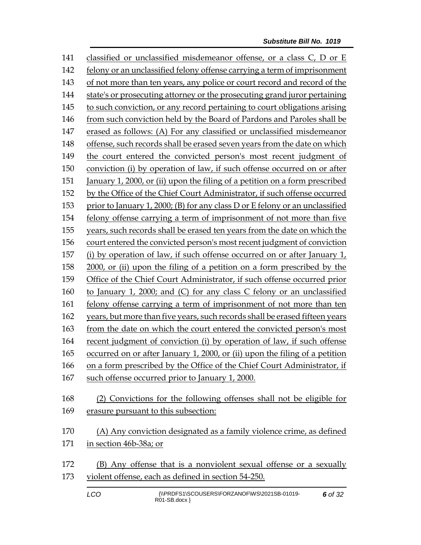141 classified or unclassified misdemeanor offense, or a class C, D or E felony or an unclassified felony offense carrying a term of imprisonment of not more than ten years, any police or court record and record of the state's or prosecuting attorney or the prosecuting grand juror pertaining to such conviction, or any record pertaining to court obligations arising from such conviction held by the Board of Pardons and Paroles shall be erased as follows: (A) For any classified or unclassified misdemeanor offense, such records shall be erased seven years from the date on which the court entered the convicted person's most recent judgment of conviction (i) by operation of law, if such offense occurred on or after January 1, 2000, or (ii) upon the filing of a petition on a form prescribed by the Office of the Chief Court Administrator, if such offense occurred prior to January 1, 2000; (B) for any class D or E felony or an unclassified felony offense carrying a term of imprisonment of not more than five years, such records shall be erased ten years from the date on which the court entered the convicted person's most recent judgment of conviction (i) by operation of law, if such offense occurred on or after January 1, 2000, or (ii) upon the filing of a petition on a form prescribed by the Office of the Chief Court Administrator, if such offense occurred prior to January 1, 2000; and (C) for any class C felony or an unclassified felony offense carrying a term of imprisonment of not more than ten years, but more than five years, such records shall be erased fifteen years from the date on which the court entered the convicted person's most recent judgment of conviction (i) by operation of law, if such offense occurred on or after January 1, 2000, or (ii) upon the filing of a petition on a form prescribed by the Office of the Chief Court Administrator, if such offense occurred prior to January 1, 2000. (2) Convictions for the following offenses shall not be eligible for erasure pursuant to this subsection: (A) Any conviction designated as a family violence crime, as defined in section 46b-38a; or (B) Any offense that is a nonviolent sexual offense or a sexually violent offense, each as defined in section 54-250.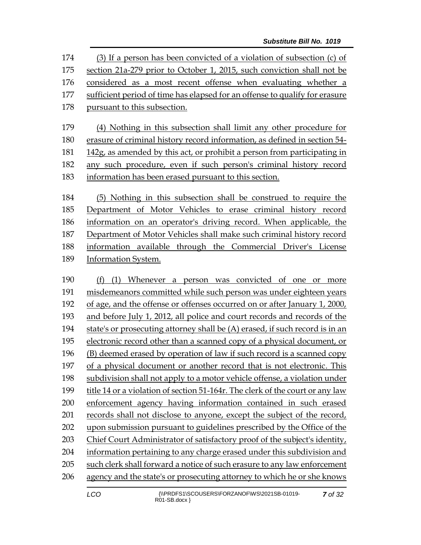(3) If a person has been convicted of a violation of subsection (c) of section 21a-279 prior to October 1, 2015, such conviction shall not be considered as a most recent offense when evaluating whether a sufficient period of time has elapsed for an offense to qualify for erasure pursuant to this subsection.

 (4) Nothing in this subsection shall limit any other procedure for erasure of criminal history record information, as defined in section 54- 142g, as amended by this act, or prohibit a person from participating in any such procedure, even if such person's criminal history record information has been erased pursuant to this section.

 (5) Nothing in this subsection shall be construed to require the Department of Motor Vehicles to erase criminal history record information on an operator's driving record. When applicable, the Department of Motor Vehicles shall make such criminal history record information available through the Commercial Driver's License Information System.

 (f) (1) Whenever a person was convicted of one or more misdemeanors committed while such person was under eighteen years of age, and the offense or offenses occurred on or after January 1, 2000, and before July 1, 2012, all police and court records and records of the state's or prosecuting attorney shall be (A) erased, if such record is in an electronic record other than a scanned copy of a physical document, or (B) deemed erased by operation of law if such record is a scanned copy of a physical document or another record that is not electronic. This subdivision shall not apply to a motor vehicle offense, a violation under title 14 or a violation of section 51-164r. The clerk of the court or any law enforcement agency having information contained in such erased records shall not disclose to anyone, except the subject of the record, upon submission pursuant to guidelines prescribed by the Office of the Chief Court Administrator of satisfactory proof of the subject's identity, information pertaining to any charge erased under this subdivision and such clerk shall forward a notice of such erasure to any law enforcement agency and the state's or prosecuting attorney to which he or she knows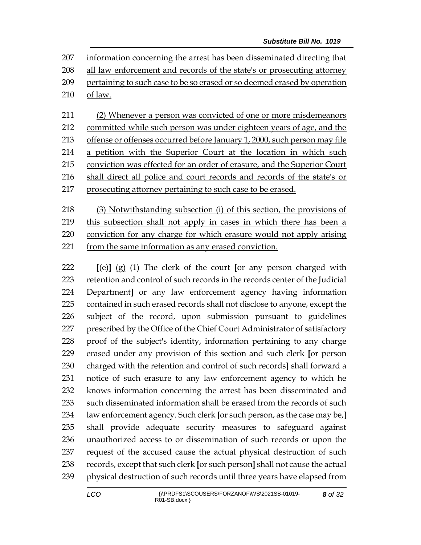information concerning the arrest has been disseminated directing that 208 all law enforcement and records of the state's or prosecuting attorney pertaining to such case to be so erased or so deemed erased by operation of law.

 (2) Whenever a person was convicted of one or more misdemeanors 212 committed while such person was under eighteen years of age, and the offense or offenses occurred before January 1, 2000, such person may file a petition with the Superior Court at the location in which such conviction was effected for an order of erasure, and the Superior Court shall direct all police and court records and records of the state's or prosecuting attorney pertaining to such case to be erased.

 (3) Notwithstanding subsection (i) of this section, the provisions of 219 this subsection shall not apply in cases in which there has been a conviction for any charge for which erasure would not apply arising from the same information as any erased conviction.

 **[**(e)**]** (g) (1) The clerk of the court **[**or any person charged with retention and control of such records in the records center of the Judicial Department**]** or any law enforcement agency having information contained in such erased records shall not disclose to anyone, except the subject of the record, upon submission pursuant to guidelines prescribed by the Office of the Chief Court Administrator of satisfactory proof of the subject's identity, information pertaining to any charge erased under any provision of this section and such clerk **[**or person charged with the retention and control of such records**]** shall forward a notice of such erasure to any law enforcement agency to which he knows information concerning the arrest has been disseminated and such disseminated information shall be erased from the records of such law enforcement agency. Such clerk **[**or such person, as the case may be,**]** shall provide adequate security measures to safeguard against unauthorized access to or dissemination of such records or upon the request of the accused cause the actual physical destruction of such records, except that such clerk **[**or such person**]** shall not cause the actual physical destruction of such records until three years have elapsed from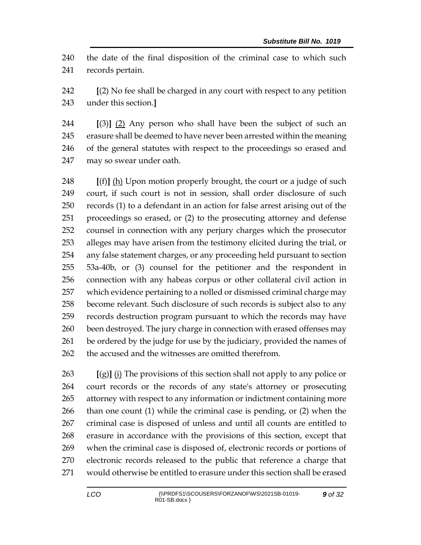the date of the final disposition of the criminal case to which such records pertain.

 **[**(2) No fee shall be charged in any court with respect to any petition under this section.**]**

 **[**(3)**]** (2) Any person who shall have been the subject of such an erasure shall be deemed to have never been arrested within the meaning of the general statutes with respect to the proceedings so erased and may so swear under oath.

 **[**(f)**]** (h) Upon motion properly brought, the court or a judge of such court, if such court is not in session, shall order disclosure of such records (1) to a defendant in an action for false arrest arising out of the proceedings so erased, or (2) to the prosecuting attorney and defense counsel in connection with any perjury charges which the prosecutor alleges may have arisen from the testimony elicited during the trial, or any false statement charges, or any proceeding held pursuant to section 53a-40b, or (3) counsel for the petitioner and the respondent in connection with any habeas corpus or other collateral civil action in which evidence pertaining to a nolled or dismissed criminal charge may become relevant. Such disclosure of such records is subject also to any records destruction program pursuant to which the records may have 260 been destroyed. The jury charge in connection with erased offenses may 261 be ordered by the judge for use by the judiciary, provided the names of the accused and the witnesses are omitted therefrom.

 **[**(g)**]** (i) The provisions of this section shall not apply to any police or court records or the records of any state's attorney or prosecuting attorney with respect to any information or indictment containing more than one count (1) while the criminal case is pending, or (2) when the criminal case is disposed of unless and until all counts are entitled to erasure in accordance with the provisions of this section, except that when the criminal case is disposed of, electronic records or portions of electronic records released to the public that reference a charge that would otherwise be entitled to erasure under this section shall be erased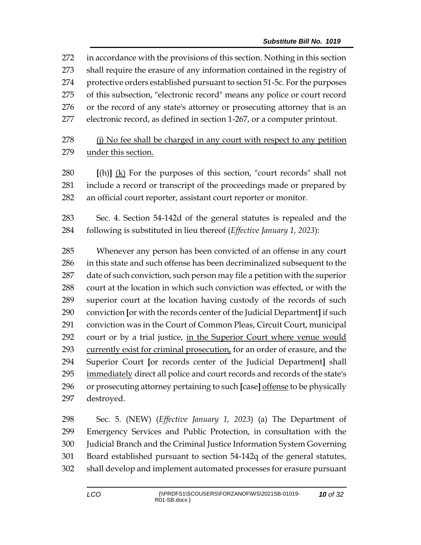in accordance with the provisions of this section. Nothing in this section shall require the erasure of any information contained in the registry of protective orders established pursuant to section 51-5c. For the purposes of this subsection, "electronic record" means any police or court record or the record of any state's attorney or prosecuting attorney that is an electronic record, as defined in section 1-267, or a computer printout.

278 (i) No fee shall be charged in any court with respect to any petition under this section.

 **[**(h)**]** (k) For the purposes of this section, "court records" shall not include a record or transcript of the proceedings made or prepared by an official court reporter, assistant court reporter or monitor.

 Sec. 4. Section 54-142d of the general statutes is repealed and the following is substituted in lieu thereof (*Effective January 1, 2023*):

 Whenever any person has been convicted of an offense in any court in this state and such offense has been decriminalized subsequent to the date of such conviction, such person may file a petition with the superior court at the location in which such conviction was effected, or with the superior court at the location having custody of the records of such conviction **[**or with the records center of the Judicial Department**]** if such conviction was in the Court of Common Pleas, Circuit Court, municipal court or by a trial justice, in the Superior Court where venue would currently exist for criminal prosecution, for an order of erasure, and the Superior Court **[**or records center of the Judicial Department**]** shall 295 immediately direct all police and court records and records of the state's or prosecuting attorney pertaining to such **[**case**]** offense to be physically destroyed.

 Sec. 5. (NEW) (*Effective January 1, 2023*) (a) The Department of Emergency Services and Public Protection, in consultation with the Judicial Branch and the Criminal Justice Information System Governing Board established pursuant to section 54-142q of the general statutes, shall develop and implement automated processes for erasure pursuant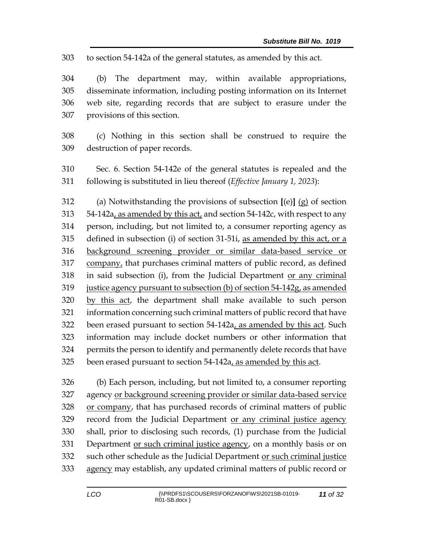to section 54-142a of the general statutes, as amended by this act.

 (b) The department may, within available appropriations, disseminate information, including posting information on its Internet web site, regarding records that are subject to erasure under the provisions of this section.

 (c) Nothing in this section shall be construed to require the destruction of paper records.

 Sec. 6. Section 54-142e of the general statutes is repealed and the following is substituted in lieu thereof (*Effective January 1, 2023*):

 (a) Notwithstanding the provisions of subsection **[**(e)**]** (g) of section 54-142a, as amended by this act, and section 54-142c, with respect to any person, including, but not limited to, a consumer reporting agency as defined in subsection (i) of section 31-51i, as amended by this act, or a background screening provider or similar data-based service or company, that purchases criminal matters of public record, as defined in said subsection (i), from the Judicial Department or any criminal justice agency pursuant to subsection (b) of section 54-142g, as amended by this act, the department shall make available to such person information concerning such criminal matters of public record that have 322 been erased pursuant to section 54-142a, as amended by this act. Such information may include docket numbers or other information that permits the person to identify and permanently delete records that have 325 been erased pursuant to section 54-142a, as amended by this act.

 (b) Each person, including, but not limited to, a consumer reporting agency or background screening provider or similar data-based service or company, that has purchased records of criminal matters of public record from the Judicial Department or any criminal justice agency shall, prior to disclosing such records, (1) purchase from the Judicial Department or such criminal justice agency, on a monthly basis or on 332 such other schedule as the Judicial Department or such criminal justice 333 agency may establish, any updated criminal matters of public record or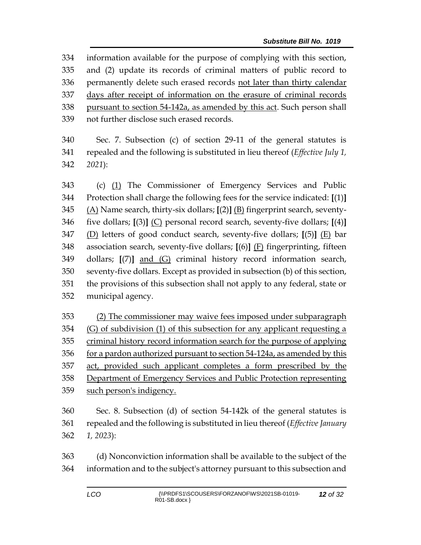information available for the purpose of complying with this section, and (2) update its records of criminal matters of public record to permanently delete such erased records not later than thirty calendar days after receipt of information on the erasure of criminal records pursuant to section 54-142a, as amended by this act. Such person shall not further disclose such erased records.

 Sec. 7. Subsection (c) of section 29-11 of the general statutes is repealed and the following is substituted in lieu thereof (*Effective July 1, 2021*):

 (c) (1) The Commissioner of Emergency Services and Public Protection shall charge the following fees for the service indicated: **[**(1)**]** (A) Name search, thirty-six dollars; **[**(2)**]** (B) fingerprint search, seventy- five dollars; **[**(3)**]** (C) personal record search, seventy-five dollars; **[**(4)**]** (D) letters of good conduct search, seventy-five dollars; **[**(5)**]** (E) bar association search, seventy-five dollars; **[**(6)**]** (F) fingerprinting, fifteen dollars; **[**(7)**]** and (G) criminal history record information search, seventy-five dollars. Except as provided in subsection (b) of this section, the provisions of this subsection shall not apply to any federal, state or municipal agency.

 (2) The commissioner may waive fees imposed under subparagraph (G) of subdivision (1) of this subsection for any applicant requesting a criminal history record information search for the purpose of applying for a pardon authorized pursuant to section 54-124a, as amended by this 357 act, provided such applicant completes a form prescribed by the Department of Emergency Services and Public Protection representing such person's indigency.

 Sec. 8. Subsection (d) of section 54-142k of the general statutes is repealed and the following is substituted in lieu thereof (*Effective January 1, 2023*):

 (d) Nonconviction information shall be available to the subject of the information and to the subject's attorney pursuant to this subsection and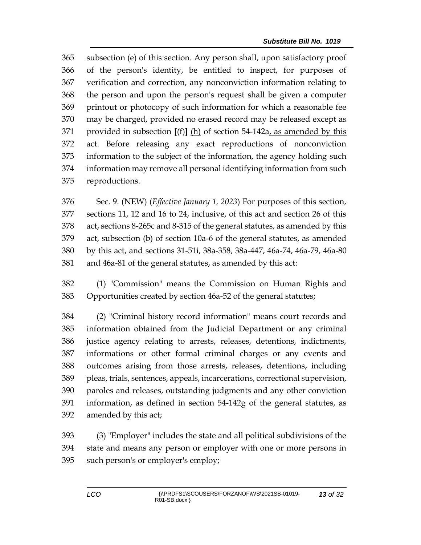subsection (e) of this section. Any person shall, upon satisfactory proof of the person's identity, be entitled to inspect, for purposes of verification and correction, any nonconviction information relating to the person and upon the person's request shall be given a computer printout or photocopy of such information for which a reasonable fee may be charged, provided no erased record may be released except as provided in subsection **[**(f)**]** (h) of section 54-142a, as amended by this act. Before releasing any exact reproductions of nonconviction information to the subject of the information, the agency holding such information may remove all personal identifying information from such reproductions.

 Sec. 9. (NEW) (*Effective January 1, 2023*) For purposes of this section, sections 11, 12 and 16 to 24, inclusive, of this act and section 26 of this act, sections 8-265c and 8-315 of the general statutes, as amended by this act, subsection (b) of section 10a-6 of the general statutes, as amended by this act, and sections 31-51i, 38a-358, 38a-447, 46a-74, 46a-79, 46a-80 and 46a-81 of the general statutes, as amended by this act:

 (1) "Commission" means the Commission on Human Rights and Opportunities created by section 46a-52 of the general statutes;

 (2) "Criminal history record information" means court records and information obtained from the Judicial Department or any criminal justice agency relating to arrests, releases, detentions, indictments, informations or other formal criminal charges or any events and outcomes arising from those arrests, releases, detentions, including pleas, trials, sentences, appeals, incarcerations, correctional supervision, paroles and releases, outstanding judgments and any other conviction information, as defined in [section 54-142g](https://1.next.westlaw.com/Link/Document/FullText?findType=L&pubNum=1000264&cite=CTSTS54-142G&originatingDoc=ND7547DF0547E11E6A483DFBDA551E575&refType=LQ&originationContext=document&transitionType=DocumentItem&contextData=(sc.Search)) of the general statutes, as amended by this act;

 (3) "Employer" includes the state and all political subdivisions of the state and means any person or employer with one or more persons in such person's or employer's employ;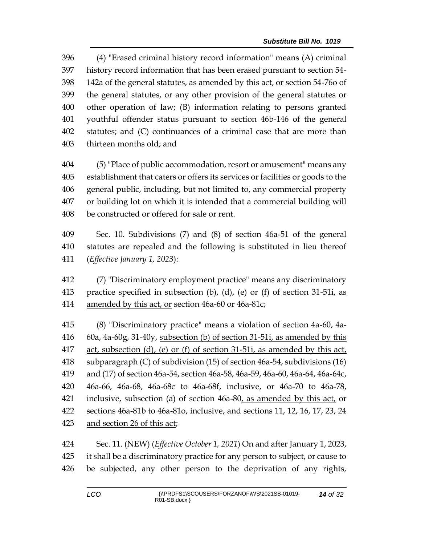(4) "Erased criminal history record information" means (A) criminal history record information that has been erased pursuant to section 54- 142a of the general statutes, as amended by this act, or section 54-76o of the general statutes, or any other provision of the general statutes or other operation of law; (B) information relating to persons granted youthful offender status pursuant to section 46b-146 of the general statutes; and (C) continuances of a criminal case that are more than thirteen months old; and

 (5) "Place of public accommodation, resort or amusement" means any establishment that caters or offers its services or facilities or goods to the general public, including, but not limited to, any commercial property or building lot on which it is intended that a commercial building will be constructed or offered for sale or rent.

 Sec. 10. Subdivisions (7) and (8) of section 46a-51 of the general statutes are repealed and the following is substituted in lieu thereof (*Effective January 1, 2023*):

 (7) "Discriminatory employment practice" means any discriminatory practice specified in subsection (b), (d), (e) or (f) of section 31-51i, as amended by this act, or section 46a-60 or 46a-81c;

 (8) "Discriminatory practice" means a violation of section 4a-60, 4a- 60a, 4a-60g, 31-40y, subsection (b) of section 31-51i, as amended by this act, subsection (d), (e) or (f) of section 31-51i, as amended by this act, subparagraph (C) of subdivision (15) of section 46a-54, subdivisions (16) and (17) of section 46a-54, section 46a-58, 46a-59, 46a-60, 46a-64, 46a-64c, 46a-66, 46a-68, 46a-68c to 46a-68f, inclusive, or 46a-70 to 46a-78, inclusive, subsection (a) of section 46a-80, as amended by this act, or sections 46a-81b to 46a-81o, inclusive, and sections 11, 12, 16, 17, 23, 24 and section 26 of this act;

 Sec. 11. (NEW) (*Effective October 1, 2021*) On and after January 1, 2023, it shall be a discriminatory practice for any person to subject, or cause to be subjected, any other person to the deprivation of any rights,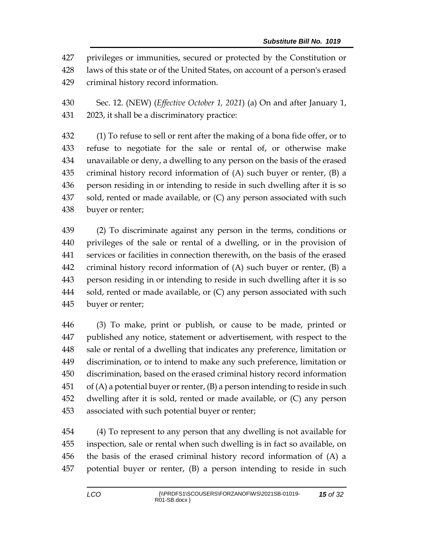privileges or immunities, secured or protected by the Constitution or laws of this state or of the United States, on account of a person's erased criminal history record information.

 Sec. 12. (NEW) (*Effective October 1, 2021*) (a) On and after January 1, 2023, it shall be a discriminatory practice:

 (1) To refuse to sell or rent after the making of a bona fide offer, or to refuse to negotiate for the sale or rental of, or otherwise make unavailable or deny, a dwelling to any person on the basis of the erased criminal history record information of (A) such buyer or renter, (B) a person residing in or intending to reside in such dwelling after it is so sold, rented or made available, or (C) any person associated with such buyer or renter;

 (2) To discriminate against any person in the terms, conditions or privileges of the sale or rental of a dwelling, or in the provision of services or facilities in connection therewith, on the basis of the erased criminal history record information of (A) such buyer or renter, (B) a person residing in or intending to reside in such dwelling after it is so 444 sold, rented or made available, or (C) any person associated with such buyer or renter;

 (3) To make, print or publish, or cause to be made, printed or published any notice, statement or advertisement, with respect to the sale or rental of a dwelling that indicates any preference, limitation or discrimination, or to intend to make any such preference, limitation or discrimination, based on the erased criminal history record information of (A) a potential buyer or renter, (B) a person intending to reside in such dwelling after it is sold, rented or made available, or (C) any person associated with such potential buyer or renter;

 (4) To represent to any person that any dwelling is not available for inspection, sale or rental when such dwelling is in fact so available, on the basis of the erased criminal history record information of (A) a potential buyer or renter, (B) a person intending to reside in such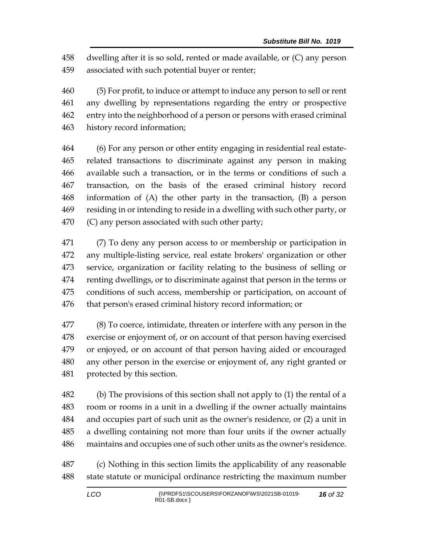dwelling after it is so sold, rented or made available, or (C) any person associated with such potential buyer or renter;

 (5) For profit, to induce or attempt to induce any person to sell or rent any dwelling by representations regarding the entry or prospective entry into the neighborhood of a person or persons with erased criminal history record information;

 (6) For any person or other entity engaging in residential real estate- related transactions to discriminate against any person in making available such a transaction, or in the terms or conditions of such a transaction, on the basis of the erased criminal history record information of (A) the other party in the transaction, (B) a person residing in or intending to reside in a dwelling with such other party, or (C) any person associated with such other party;

 (7) To deny any person access to or membership or participation in any multiple-listing service, real estate brokers' organization or other service, organization or facility relating to the business of selling or renting dwellings, or to discriminate against that person in the terms or conditions of such access, membership or participation, on account of that person's erased criminal history record information; or

 (8) To coerce, intimidate, threaten or interfere with any person in the exercise or enjoyment of, or on account of that person having exercised or enjoyed, or on account of that person having aided or encouraged any other person in the exercise or enjoyment of, any right granted or protected by this section.

 (b) The provisions of this section shall not apply to (1) the rental of a room or rooms in a unit in a dwelling if the owner actually maintains and occupies part of such unit as the owner's residence, or (2) a unit in a dwelling containing not more than four units if the owner actually maintains and occupies one of such other units as the owner's residence.

 (c) Nothing in this section limits the applicability of any reasonable state statute or municipal ordinance restricting the maximum number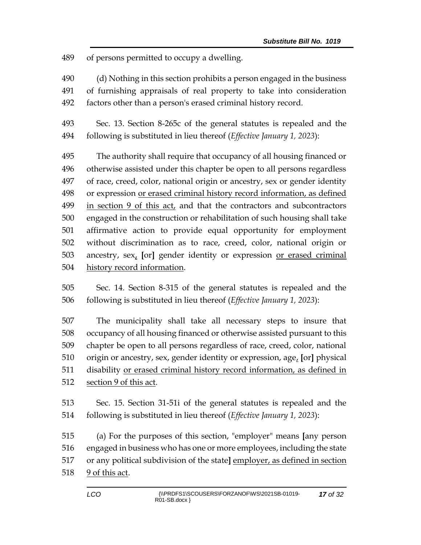of persons permitted to occupy a dwelling.

- (d) Nothing in this section prohibits a person engaged in the business of furnishing appraisals of real property to take into consideration
- factors other than a person's erased criminal history record.
- Sec. 13. Section 8-265c of the general statutes is repealed and the following is substituted in lieu thereof (*Effective January 1, 2023*):

 The authority shall require that occupancy of all housing financed or otherwise assisted under this chapter be open to all persons regardless of race, creed, color, national origin or ancestry, sex or gender identity or expression or erased criminal history record information, as defined in section 9 of this act, and that the contractors and subcontractors engaged in the construction or rehabilitation of such housing shall take affirmative action to provide equal opportunity for employment without discrimination as to race, creed, color, national origin or ancestry, sex, **[**or**]** gender identity or expression or erased criminal history record information.

 Sec. 14. Section 8-315 of the general statutes is repealed and the following is substituted in lieu thereof (*Effective January 1, 2023*):

 The municipality shall take all necessary steps to insure that occupancy of all housing financed or otherwise assisted pursuant to this chapter be open to all persons regardless of race, creed, color, national origin or ancestry, sex, gender identity or expression, age, **[**or**]** physical disability or erased criminal history record information, as defined in section 9 of this act.

 Sec. 15. Section 31-51i of the general statutes is repealed and the following is substituted in lieu thereof (*Effective January 1, 2023*):

 (a) For the purposes of this section, "employer" means **[**any person engaged in business who has one or more employees, including the state or any political subdivision of the state**]** employer, as defined in section 9 of this act.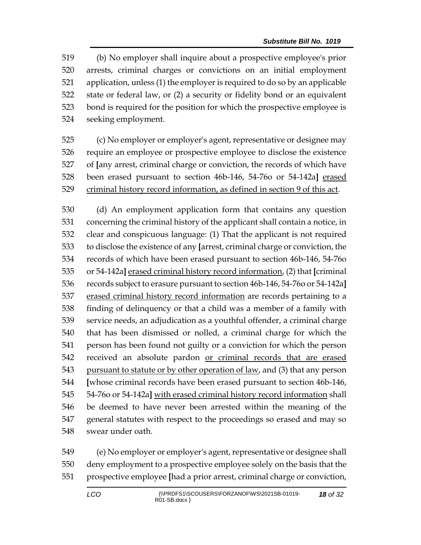(b) No employer shall inquire about a prospective employee's prior arrests, criminal charges or convictions on an initial employment application, unless (1) the employer is required to do so by an applicable state or federal law, or (2) a security or fidelity bond or an equivalent bond is required for the position for which the prospective employee is seeking employment.

 (c) No employer or employer's agent, representative or designee may require an employee or prospective employee to disclose the existence of **[**any arrest, criminal charge or conviction, the records of which have been erased pursuant to section 46b-146, 54-76o or 54-142a**]** erased criminal history record information, as defined in section 9 of this act.

 (d) An employment application form that contains any question concerning the criminal history of the applicant shall contain a notice, in clear and conspicuous language: (1) That the applicant is not required to disclose the existence of any **[**arrest, criminal charge or conviction, the records of which have been erased pursuant to section 46b-146, 54-76o or 54-142a**]** erased criminal history record information, (2) that **[**criminal records subject to erasure pursuant to section 46b-146, 54-76o or 54-142a**]** 537 erased criminal history record information are records pertaining to a finding of delinquency or that a child was a member of a family with service needs, an adjudication as a youthful offender, a criminal charge that has been dismissed or nolled, a criminal charge for which the person has been found not guilty or a conviction for which the person received an absolute pardon or criminal records that are erased 543 pursuant to statute or by other operation of law, and (3) that any person **[**whose criminal records have been erased pursuant to section 46b-146, 54-76o or 54-142a**]** with erased criminal history record information shall be deemed to have never been arrested within the meaning of the general statutes with respect to the proceedings so erased and may so swear under oath.

 (e) No employer or employer's agent, representative or designee shall deny employment to a prospective employee solely on the basis that the prospective employee **[**had a prior arrest, criminal charge or conviction,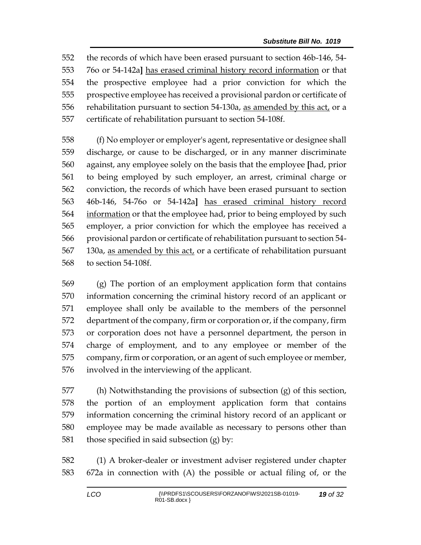the records of which have been erased pursuant to section 46b-146, 54- 76o or 54-142a**]** has erased criminal history record information or that the prospective employee had a prior conviction for which the prospective employee has received a provisional pardon or certificate of 556 rehabilitation pursuant to section 54-130a, as amended by this act, or a certificate of rehabilitation pursuant to section 54-108f.

 (f) No employer or employer's agent, representative or designee shall discharge, or cause to be discharged, or in any manner discriminate against, any employee solely on the basis that the employee **[**had, prior to being employed by such employer, an arrest, criminal charge or conviction, the records of which have been erased pursuant to section 46b-146, 54-76o or 54-142a**]** has erased criminal history record information or that the employee had, prior to being employed by such employer, a prior conviction for which the employee has received a provisional pardon or certificate of rehabilitation pursuant to section 54- 130a, as amended by this act, or a certificate of rehabilitation pursuant to section 54-108f.

 (g) The portion of an employment application form that contains information concerning the criminal history record of an applicant or employee shall only be available to the members of the personnel department of the company, firm or corporation or, if the company, firm or corporation does not have a personnel department, the person in charge of employment, and to any employee or member of the company, firm or corporation, or an agent of such employee or member, involved in the interviewing of the applicant.

 (h) Notwithstanding the provisions of subsection (g) of this section, the portion of an employment application form that contains information concerning the criminal history record of an applicant or employee may be made available as necessary to persons other than 581 those specified in said subsection  $(g)$  by:

 (1) A broker-dealer or investment adviser registered under chapter 672a in connection with (A) the possible or actual filing of, or the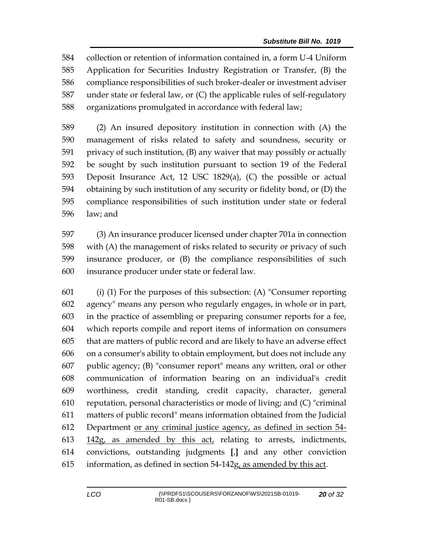collection or retention of information contained in, a form U-4 Uniform Application for Securities Industry Registration or Transfer, (B) the compliance responsibilities of such broker-dealer or investment adviser under state or federal law, or (C) the applicable rules of self-regulatory organizations promulgated in accordance with federal law;

 (2) An insured depository institution in connection with (A) the management of risks related to safety and soundness, security or privacy of such institution, (B) any waiver that may possibly or actually be sought by such institution pursuant to section 19 of the Federal Deposit Insurance Act, 12 USC 1829(a), (C) the possible or actual obtaining by such institution of any security or fidelity bond, or (D) the compliance responsibilities of such institution under state or federal law; and

 (3) An insurance producer licensed under chapter 701a in connection with (A) the management of risks related to security or privacy of such insurance producer, or (B) the compliance responsibilities of such insurance producer under state or federal law.

 (i) (1) For the purposes of this subsection: (A) "Consumer reporting agency" means any person who regularly engages, in whole or in part, in the practice of assembling or preparing consumer reports for a fee, which reports compile and report items of information on consumers that are matters of public record and are likely to have an adverse effect on a consumer's ability to obtain employment, but does not include any public agency; (B) "consumer report" means any written, oral or other communication of information bearing on an individual's credit worthiness, credit standing, credit capacity, character, general reputation, personal characteristics or mode of living; and (C) "criminal matters of public record" means information obtained from the Judicial Department or any criminal justice agency, as defined in section 54- 142g, as amended by this act, relating to arrests, indictments, convictions, outstanding judgments **[**,**]** and any other conviction information, as defined in section 54-142g, as amended by this act.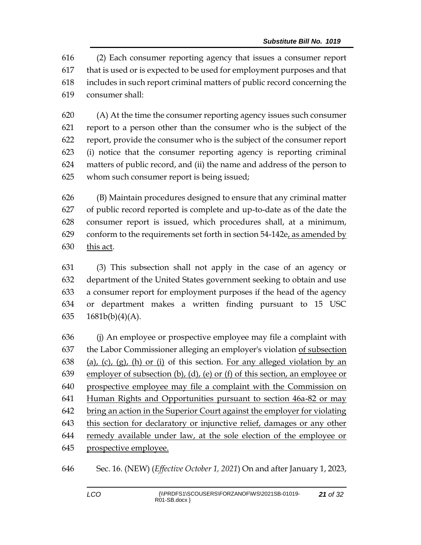(2) Each consumer reporting agency that issues a consumer report that is used or is expected to be used for employment purposes and that includes in such report criminal matters of public record concerning the consumer shall:

 (A) At the time the consumer reporting agency issues such consumer report to a person other than the consumer who is the subject of the report, provide the consumer who is the subject of the consumer report (i) notice that the consumer reporting agency is reporting criminal matters of public record, and (ii) the name and address of the person to whom such consumer report is being issued;

 (B) Maintain procedures designed to ensure that any criminal matter of public record reported is complete and up-to-date as of the date the consumer report is issued, which procedures shall, at a minimum, 629 conform to the requirements set forth in section  $54-142e<sub>L</sub>$  as amended by this act.

 (3) This subsection shall not apply in the case of an agency or department of the United States government seeking to obtain and use a consumer report for employment purposes if the head of the agency or department makes a written finding pursuant to 15 USC  $1681b(b)(4)(A)$ .

 (j) An employee or prospective employee may file a complaint with the Labor Commissioner alleging an employer's violation of subsection 638 (a), (c), (g), (h) or (i) of this section. For any alleged violation by an employer of subsection (b), (d), (e) or (f) of this section, an employee or prospective employee may file a complaint with the Commission on Human Rights and Opportunities pursuant to section 46a-82 or may bring an action in the Superior Court against the employer for violating this section for declaratory or injunctive relief, damages or any other remedy available under law, at the sole election of the employee or prospective employee.

Sec. 16. (NEW) (*Effective October 1, 2021*) On and after January 1, 2023,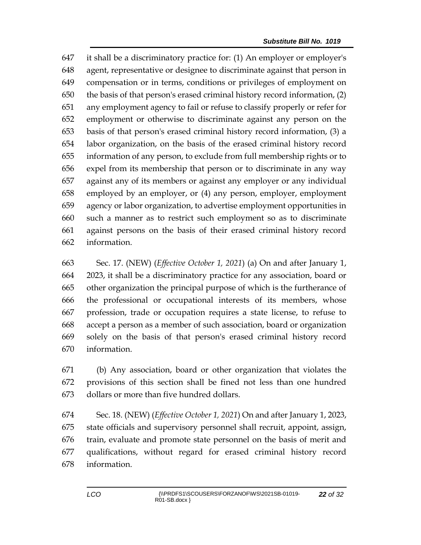it shall be a discriminatory practice for: (1) An employer or employer's agent, representative or designee to discriminate against that person in compensation or in terms, conditions or privileges of employment on the basis of that person's erased criminal history record information, (2) any employment agency to fail or refuse to classify properly or refer for employment or otherwise to discriminate against any person on the basis of that person's erased criminal history record information, (3) a labor organization, on the basis of the erased criminal history record information of any person, to exclude from full membership rights or to expel from its membership that person or to discriminate in any way against any of its members or against any employer or any individual employed by an employer, or (4) any person, employer, employment agency or labor organization, to advertise employment opportunities in such a manner as to restrict such employment so as to discriminate against persons on the basis of their erased criminal history record information.

 Sec. 17. (NEW) (*Effective October 1, 2021*) (a) On and after January 1, 2023, it shall be a discriminatory practice for any association, board or other organization the principal purpose of which is the furtherance of the professional or occupational interests of its members, whose profession, trade or occupation requires a state license, to refuse to accept a person as a member of such association, board or organization solely on the basis of that person's erased criminal history record information.

 (b) Any association, board or other organization that violates the provisions of this section shall be fined not less than one hundred dollars or more than five hundred dollars.

 Sec. 18. (NEW) (*Effective October 1, 2021*) On and after January 1, 2023, state officials and supervisory personnel shall recruit, appoint, assign, train, evaluate and promote state personnel on the basis of merit and qualifications, without regard for erased criminal history record information.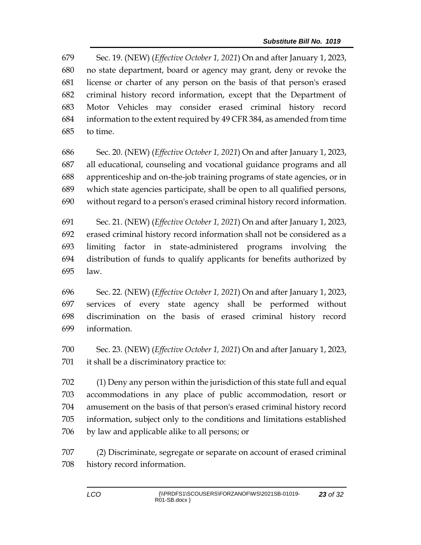Sec. 19. (NEW) (*Effective October 1, 2021*) On and after January 1, 2023, no state department, board or agency may grant, deny or revoke the license or charter of any person on the basis of that person's erased criminal history record information, except that the Department of Motor Vehicles may consider erased criminal history record information to the extent required by 49 CFR 384, as amended from time to time.

 Sec. 20. (NEW) (*Effective October 1, 2021*) On and after January 1, 2023, all educational, counseling and vocational guidance programs and all apprenticeship and on-the-job training programs of state agencies, or in which state agencies participate, shall be open to all qualified persons, without regard to a person's erased criminal history record information.

 Sec. 21. (NEW) (*Effective October 1, 2021*) On and after January 1, 2023, erased criminal history record information shall not be considered as a limiting factor in state-administered programs involving the distribution of funds to qualify applicants for benefits authorized by law.

 Sec. 22. (NEW) (*Effective October 1, 2021*) On and after January 1, 2023, services of every state agency shall be performed without discrimination on the basis of erased criminal history record information.

 Sec. 23. (NEW) (*Effective October 1, 2021*) On and after January 1, 2023, it shall be a discriminatory practice to:

 (1) Deny any person within the jurisdiction of this state full and equal accommodations in any place of public accommodation, resort or amusement on the basis of that person's erased criminal history record information, subject only to the conditions and limitations established by law and applicable alike to all persons; or

 (2) Discriminate, segregate or separate on account of erased criminal history record information.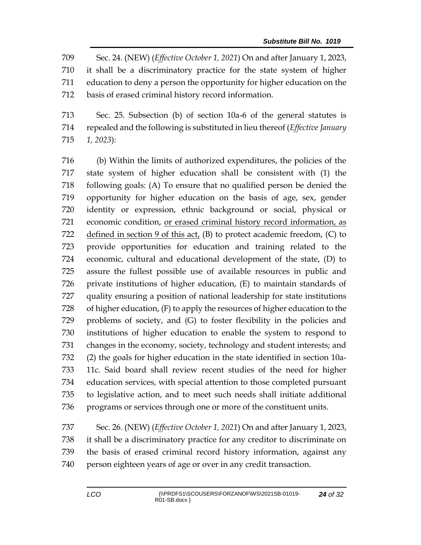Sec. 24. (NEW) (*Effective October 1, 2021*) On and after January 1, 2023, it shall be a discriminatory practice for the state system of higher education to deny a person the opportunity for higher education on the basis of erased criminal history record information.

 Sec. 25. Subsection (b) of section 10a-6 of the general statutes is repealed and the following is substituted in lieu thereof (*Effective January 1, 2023*):

 (b) Within the limits of authorized expenditures, the policies of the state system of higher education shall be consistent with (1) the following goals: (A) To ensure that no qualified person be denied the opportunity for higher education on the basis of age, sex, gender identity or expression, ethnic background or social, physical or economic condition, or erased criminal history record information, as 722 defined in section 9 of this  $act_{\ell}$  (B) to protect academic freedom, (C) to provide opportunities for education and training related to the economic, cultural and educational development of the state, (D) to assure the fullest possible use of available resources in public and private institutions of higher education, (E) to maintain standards of quality ensuring a position of national leadership for state institutions of higher education, (F) to apply the resources of higher education to the problems of society, and (G) to foster flexibility in the policies and institutions of higher education to enable the system to respond to changes in the economy, society, technology and student interests; and (2) the goals for higher education in the state identified in section 10a- 11c. Said board shall review recent studies of the need for higher education services, with special attention to those completed pursuant to legislative action, and to meet such needs shall initiate additional programs or services through one or more of the constituent units.

 Sec. 26. (NEW) (*Effective October 1, 2021*) On and after January 1, 2023, it shall be a discriminatory practice for any creditor to discriminate on the basis of erased criminal record history information, against any person eighteen years of age or over in any credit transaction.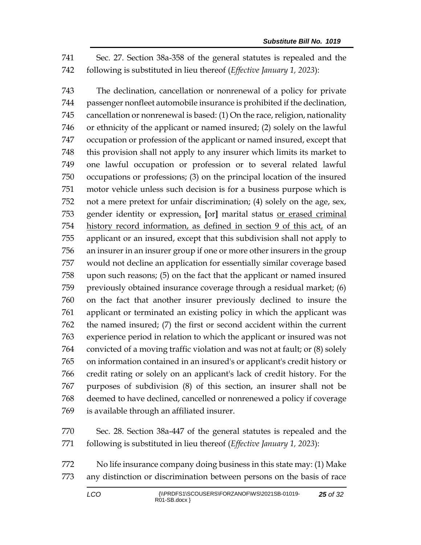Sec. 27. Section 38a-358 of the general statutes is repealed and the following is substituted in lieu thereof (*Effective January 1, 2023*):

 The declination, cancellation or nonrenewal of a policy for private passenger nonfleet automobile insurance is prohibited if the declination, cancellation or nonrenewal is based: (1) On the race, religion, nationality or ethnicity of the applicant or named insured; (2) solely on the lawful occupation or profession of the applicant or named insured, except that this provision shall not apply to any insurer which limits its market to one lawful occupation or profession or to several related lawful occupations or professions; (3) on the principal location of the insured motor vehicle unless such decision is for a business purpose which is not a mere pretext for unfair discrimination; (4) solely on the age, sex, gender identity or expression, **[**or**]** marital status or erased criminal history record information, as defined in section 9 of this act, of an applicant or an insured, except that this subdivision shall not apply to an insurer in an insurer group if one or more other insurers in the group would not decline an application for essentially similar coverage based upon such reasons; (5) on the fact that the applicant or named insured previously obtained insurance coverage through a residual market; (6) on the fact that another insurer previously declined to insure the applicant or terminated an existing policy in which the applicant was the named insured; (7) the first or second accident within the current experience period in relation to which the applicant or insured was not convicted of a moving traffic violation and was not at fault; or (8) solely on information contained in an insured's or applicant's credit history or credit rating or solely on an applicant's lack of credit history. For the purposes of subdivision (8) of this section, an insurer shall not be deemed to have declined, cancelled or nonrenewed a policy if coverage is available through an affiliated insurer.

 Sec. 28. Section 38a-447 of the general statutes is repealed and the following is substituted in lieu thereof (*Effective January 1, 2023*):

 No life insurance company doing business in this state may: (1) Make any distinction or discrimination between persons on the basis of race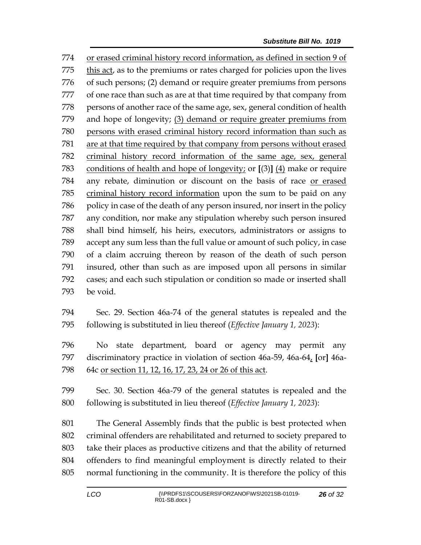or erased criminal history record information, as defined in section 9 of this act, as to the premiums or rates charged for policies upon the lives of such persons; (2) demand or require greater premiums from persons of one race than such as are at that time required by that company from 778 persons of another race of the same age, sex, general condition of health and hope of longevity; (3) demand or require greater premiums from persons with erased criminal history record information than such as are at that time required by that company from persons without erased criminal history record information of the same age, sex, general conditions of health and hope of longevity; or **[**(3)**]** (4) make or require any rebate, diminution or discount on the basis of race or erased criminal history record information upon the sum to be paid on any policy in case of the death of any person insured, nor insert in the policy any condition, nor make any stipulation whereby such person insured shall bind himself, his heirs, executors, administrators or assigns to accept any sum less than the full value or amount of such policy, in case of a claim accruing thereon by reason of the death of such person insured, other than such as are imposed upon all persons in similar cases; and each such stipulation or condition so made or inserted shall be void.

 Sec. 29. Section 46a-74 of the general statutes is repealed and the following is substituted in lieu thereof (*Effective January 1, 2023*):

 No state department, board or agency may permit any discriminatory practice in violation of section 46a-59, 46a-64, **[**or**]** 46a-64c or section 11, 12, 16, 17, 23, 24 or 26 of this act.

 Sec. 30. Section 46a-79 of the general statutes is repealed and the following is substituted in lieu thereof (*Effective January 1, 2023*):

 The General Assembly finds that the public is best protected when criminal offenders are rehabilitated and returned to society prepared to take their places as productive citizens and that the ability of returned offenders to find meaningful employment is directly related to their normal functioning in the community. It is therefore the policy of this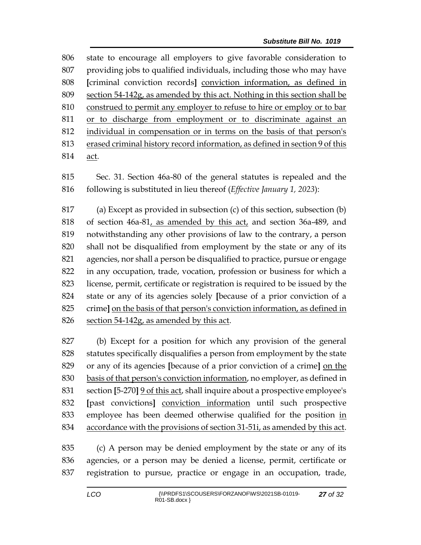state to encourage all employers to give favorable consideration to providing jobs to qualified individuals, including those who may have **[**criminal conviction records**]** conviction information, as defined in section 54-142g, as amended by this act. Nothing in this section shall be construed to permit any employer to refuse to hire or employ or to bar or to discharge from employment or to discriminate against an individual in compensation or in terms on the basis of that person's erased criminal history record information, as defined in section 9 of this act.

 Sec. 31. Section 46a-80 of the general statutes is repealed and the following is substituted in lieu thereof (*Effective January 1, 2023*):

 (a) Except as provided in subsection (c) of this section, subsection (b) of section 46a-81, as amended by this act, and section 36a-489, and notwithstanding any other provisions of law to the contrary, a person shall not be disqualified from employment by the state or any of its agencies, nor shall a person be disqualified to practice, pursue or engage in any occupation, trade, vocation, profession or business for which a license, permit, certificate or registration is required to be issued by the state or any of its agencies solely **[**because of a prior conviction of a crime**]** on the basis of that person's conviction information, as defined in 826 section 54-142g, as amended by this act.

 (b) Except for a position for which any provision of the general statutes specifically disqualifies a person from employment by the state or any of its agencies **[**because of a prior conviction of a crime**]** on the basis of that person's conviction information, no employer, as defined in section **[**5-270**]** 9 of this act, shall inquire about a prospective employee's **[**past convictions**]** conviction information until such prospective 833 employee has been deemed otherwise qualified for the position in accordance with the provisions of section 31-51i, as amended by this act.

 (c) A person may be denied employment by the state or any of its agencies, or a person may be denied a license, permit, certificate or registration to pursue, practice or engage in an occupation, trade,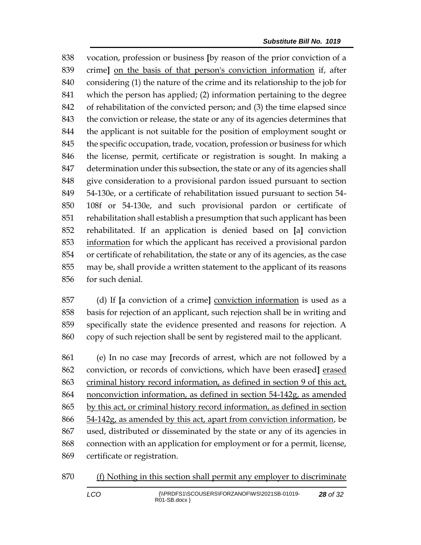vocation, profession or business **[**by reason of the prior conviction of a crime**]** on the basis of that person's conviction information if, after considering (1) the nature of the crime and its relationship to the job for which the person has applied; (2) information pertaining to the degree of rehabilitation of the convicted person; and (3) the time elapsed since the conviction or release, the state or any of its agencies determines that the applicant is not suitable for the position of employment sought or the specific occupation, trade, vocation, profession or business for which the license, permit, certificate or registration is sought. In making a determination under this subsection, the state or any of its agencies shall give consideration to a provisional pardon issued pursuant to section 54-130e, or a certificate of rehabilitation issued pursuant to section 54- 108f or 54-130e, and such provisional pardon or certificate of rehabilitation shall establish a presumption that such applicant has been rehabilitated. If an application is denied based on **[**a**]** conviction information for which the applicant has received a provisional pardon or certificate of rehabilitation, the state or any of its agencies, as the case may be, shall provide a written statement to the applicant of its reasons for such denial.

 (d) If **[**a conviction of a crime**]** conviction information is used as a basis for rejection of an applicant, such rejection shall be in writing and specifically state the evidence presented and reasons for rejection. A copy of such rejection shall be sent by registered mail to the applicant.

 (e) In no case may **[**records of arrest, which are not followed by a conviction, or records of convictions, which have been erased**]** erased criminal history record information, as defined in section 9 of this act, nonconviction information, as defined in section 54-142g, as amended by this act, or criminal history record information, as defined in section 54-142g, as amended by this act, apart from conviction information, be used, distributed or disseminated by the state or any of its agencies in connection with an application for employment or for a permit, license, certificate or registration.

(f) Nothing in this section shall permit any employer to discriminate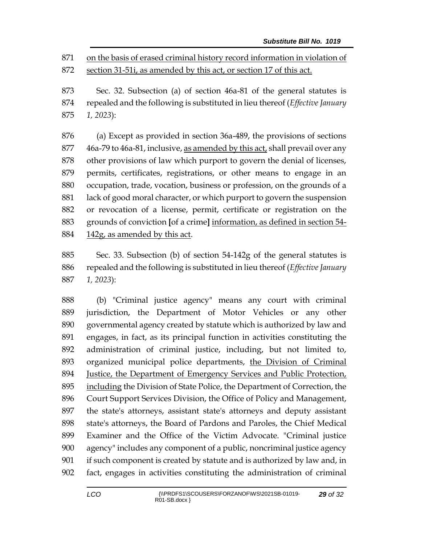on the basis of erased criminal history record information in violation of section 31-51i, as amended by this act, or section 17 of this act.

 Sec. 32. Subsection (a) of section 46a-81 of the general statutes is repealed and the following is substituted in lieu thereof (*Effective January 1, 2023*):

 (a) Except as provided in section 36a-489, the provisions of sections 46a-79 to 46a-81, inclusive, as amended by this act, shall prevail over any other provisions of law which purport to govern the denial of licenses, permits, certificates, registrations, or other means to engage in an occupation, trade, vocation, business or profession, on the grounds of a lack of good moral character, or which purport to govern the suspension or revocation of a license, permit, certificate or registration on the grounds of conviction **[**of a crime**]** information, as defined in section 54- 142g, as amended by this act.

 Sec. 33. Subsection (b) of section 54-142g of the general statutes is repealed and the following is substituted in lieu thereof (*Effective January 1, 2023*):

 (b) "Criminal justice agency" means any court with criminal jurisdiction, the Department of Motor Vehicles or any other governmental agency created by statute which is authorized by law and engages, in fact, as its principal function in activities constituting the administration of criminal justice, including, but not limited to, organized municipal police departments, the Division of Criminal Justice, the Department of Emergency Services and Public Protection, including the Division of State Police, the Department of Correction, the Court Support Services Division, the Office of Policy and Management, the state's attorneys, assistant state's attorneys and deputy assistant state's attorneys, the Board of Pardons and Paroles, the Chief Medical Examiner and the Office of the Victim Advocate. "Criminal justice agency" includes any component of a public, noncriminal justice agency if such component is created by statute and is authorized by law and, in fact, engages in activities constituting the administration of criminal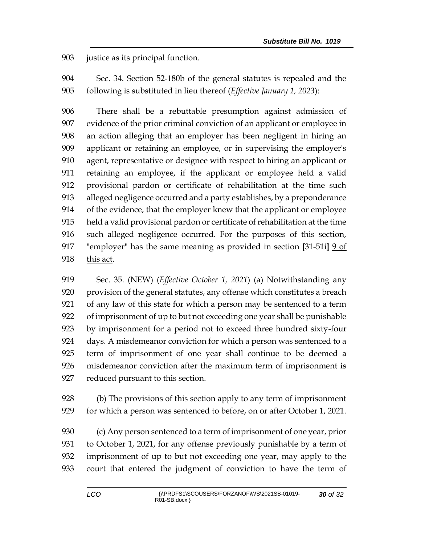justice as its principal function.

 Sec. 34. Section 52-180b of the general statutes is repealed and the following is substituted in lieu thereof (*Effective January 1, 2023*):

 There shall be a rebuttable presumption against admission of evidence of the prior criminal conviction of an applicant or employee in an action alleging that an employer has been negligent in hiring an applicant or retaining an employee, or in supervising the employer's agent, representative or designee with respect to hiring an applicant or retaining an employee, if the applicant or employee held a valid provisional pardon or certificate of rehabilitation at the time such alleged negligence occurred and a party establishes, by a preponderance of the evidence, that the employer knew that the applicant or employee held a valid provisional pardon or certificate of rehabilitation at the time such alleged negligence occurred. For the purposes of this section, "employer" has the same meaning as provided in section **[**31-51i**]** 9 of this act.

 Sec. 35. (NEW) (*Effective October 1, 2021*) (a) Notwithstanding any provision of the general statutes, any offense which constitutes a breach of any law of this state for which a person may be sentenced to a term of imprisonment of up to but not exceeding one year shall be punishable by imprisonment for a period not to exceed three hundred sixty-four days. A misdemeanor conviction for which a person was sentenced to a term of imprisonment of one year shall continue to be deemed a misdemeanor conviction after the maximum term of imprisonment is reduced pursuant to this section.

 (b) The provisions of this section apply to any term of imprisonment for which a person was sentenced to before, on or after October 1, 2021.

 (c) Any person sentenced to a term of imprisonment of one year, prior to October 1, 2021, for any offense previously punishable by a term of imprisonment of up to but not exceeding one year, may apply to the court that entered the judgment of conviction to have the term of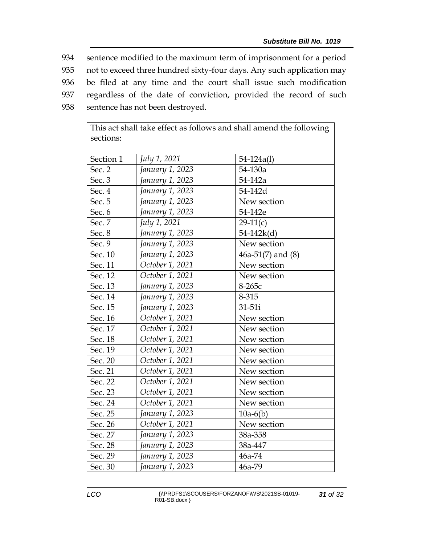sentence modified to the maximum term of imprisonment for a period not to exceed three hundred sixty-four days. Any such application may be filed at any time and the court shall issue such modification regardless of the date of conviction, provided the record of such sentence has not been destroyed.

| sections: |                 |                       |
|-----------|-----------------|-----------------------|
| Section 1 | July 1, 2021    | $54 - 124a(1)$        |
| Sec. 2    | January 1, 2023 | 54-130a               |
| Sec. 3    | January 1, 2023 | 54-142a               |
| Sec. 4    | January 1, 2023 | 54-142d               |
| Sec. 5    | January 1, 2023 | New section           |
| Sec. 6    | January 1, 2023 | 54-142e               |
| Sec. 7    | July 1, 2021    | $29-11(c)$            |
| Sec. 8    | January 1, 2023 | $54-142k(d)$          |
| Sec. 9    | January 1, 2023 | New section           |
| Sec. 10   | January 1, 2023 | $46a-51(7)$ and $(8)$ |
| Sec. 11   | October 1, 2021 | New section           |
| Sec. 12   | October 1, 2021 | New section           |
| Sec. 13   | January 1, 2023 | 8-265с                |
| Sec. 14   | January 1, 2023 | 8-315                 |
| Sec. 15   | January 1, 2023 | 31-51i                |
| Sec. 16   | October 1, 2021 | New section           |
| Sec. 17   | October 1, 2021 | New section           |
| Sec. 18   | October 1, 2021 | New section           |
| Sec. 19   | October 1, 2021 | New section           |
| Sec. 20   | October 1, 2021 | New section           |
| Sec. 21   | October 1, 2021 | New section           |
| Sec. 22   | October 1, 2021 | New section           |
| Sec. 23   | October 1, 2021 | New section           |
| Sec. 24   | October 1, 2021 | New section           |
| Sec. 25   | January 1, 2023 | $10a-6(b)$            |
| Sec. 26   | October 1, 2021 | New section           |
| Sec. 27   | January 1, 2023 | 38a-358               |
| Sec. 28   | January 1, 2023 | 38a-447               |
| Sec. 29   | January 1, 2023 | 46a-74                |
| Sec. 30   | January 1, 2023 | 46a-79                |

This act shall take effect as follows and shall amend the following